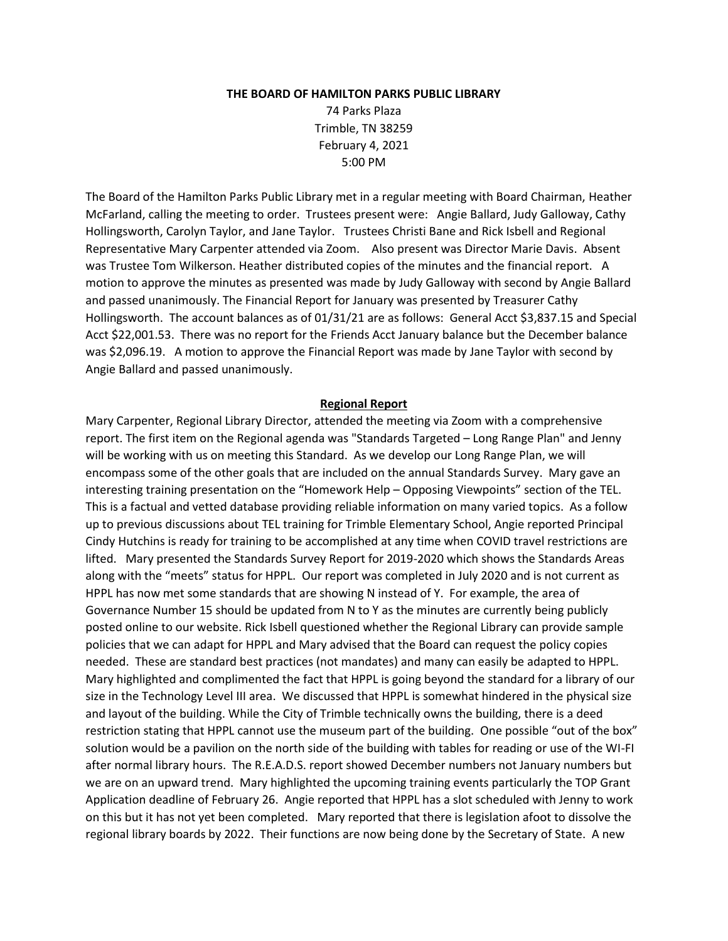#### **THE BOARD OF HAMILTON PARKS PUBLIC LIBRARY**

74 Parks Plaza Trimble, TN 38259 February 4, 2021 5:00 PM

The Board of the Hamilton Parks Public Library met in a regular meeting with Board Chairman, Heather McFarland, calling the meeting to order. Trustees present were: Angie Ballard, Judy Galloway, Cathy Hollingsworth, Carolyn Taylor, and Jane Taylor. Trustees Christi Bane and Rick Isbell and Regional Representative Mary Carpenter attended via Zoom. Also present was Director Marie Davis. Absent was Trustee Tom Wilkerson. Heather distributed copies of the minutes and the financial report. A motion to approve the minutes as presented was made by Judy Galloway with second by Angie Ballard and passed unanimously. The Financial Report for January was presented by Treasurer Cathy Hollingsworth. The account balances as of 01/31/21 are as follows: General Acct \$3,837.15 and Special Acct \$22,001.53. There was no report for the Friends Acct January balance but the December balance was \$2,096.19. A motion to approve the Financial Report was made by Jane Taylor with second by Angie Ballard and passed unanimously.

#### **Regional Report**

Mary Carpenter, Regional Library Director, attended the meeting via Zoom with a comprehensive report. The first item on the Regional agenda was "Standards Targeted – Long Range Plan" and Jenny will be working with us on meeting this Standard. As we develop our Long Range Plan, we will encompass some of the other goals that are included on the annual Standards Survey. Mary gave an interesting training presentation on the "Homework Help – Opposing Viewpoints" section of the TEL. This is a factual and vetted database providing reliable information on many varied topics. As a follow up to previous discussions about TEL training for Trimble Elementary School, Angie reported Principal Cindy Hutchins is ready for training to be accomplished at any time when COVID travel restrictions are lifted. Mary presented the Standards Survey Report for 2019-2020 which shows the Standards Areas along with the "meets" status for HPPL. Our report was completed in July 2020 and is not current as HPPL has now met some standards that are showing N instead of Y. For example, the area of Governance Number 15 should be updated from N to Y as the minutes are currently being publicly posted online to our website. Rick Isbell questioned whether the Regional Library can provide sample policies that we can adapt for HPPL and Mary advised that the Board can request the policy copies needed. These are standard best practices (not mandates) and many can easily be adapted to HPPL. Mary highlighted and complimented the fact that HPPL is going beyond the standard for a library of our size in the Technology Level III area. We discussed that HPPL is somewhat hindered in the physical size and layout of the building. While the City of Trimble technically owns the building, there is a deed restriction stating that HPPL cannot use the museum part of the building. One possible "out of the box" solution would be a pavilion on the north side of the building with tables for reading or use of the WI-FI after normal library hours. The R.E.A.D.S. report showed December numbers not January numbers but we are on an upward trend. Mary highlighted the upcoming training events particularly the TOP Grant Application deadline of February 26. Angie reported that HPPL has a slot scheduled with Jenny to work on this but it has not yet been completed. Mary reported that there is legislation afoot to dissolve the regional library boards by 2022. Their functions are now being done by the Secretary of State. A new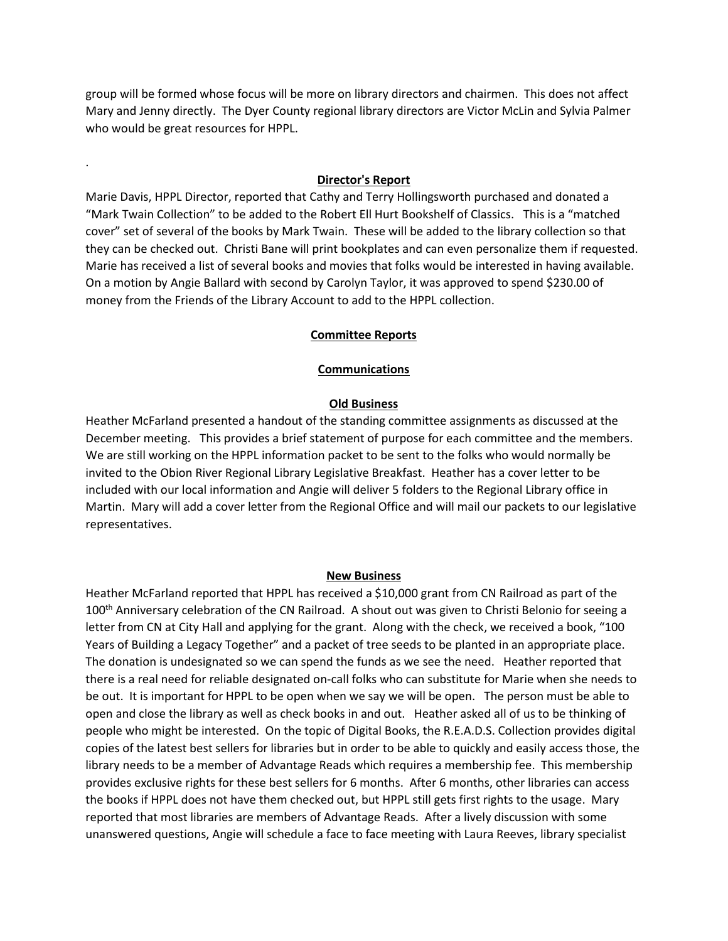group will be formed whose focus will be more on library directors and chairmen. This does not affect Mary and Jenny directly. The Dyer County regional library directors are Victor McLin and Sylvia Palmer who would be great resources for HPPL.

## **Director's Report**

.

Marie Davis, HPPL Director, reported that Cathy and Terry Hollingsworth purchased and donated a "Mark Twain Collection" to be added to the Robert Ell Hurt Bookshelf of Classics. This is a "matched cover" set of several of the books by Mark Twain. These will be added to the library collection so that they can be checked out. Christi Bane will print bookplates and can even personalize them if requested. Marie has received a list of several books and movies that folks would be interested in having available. On a motion by Angie Ballard with second by Carolyn Taylor, it was approved to spend \$230.00 of money from the Friends of the Library Account to add to the HPPL collection.

#### **Committee Reports**

#### **Communications**

## **Old Business**

Heather McFarland presented a handout of the standing committee assignments as discussed at the December meeting. This provides a brief statement of purpose for each committee and the members. We are still working on the HPPL information packet to be sent to the folks who would normally be invited to the Obion River Regional Library Legislative Breakfast. Heather has a cover letter to be included with our local information and Angie will deliver 5 folders to the Regional Library office in Martin. Mary will add a cover letter from the Regional Office and will mail our packets to our legislative representatives.

#### **New Business**

Heather McFarland reported that HPPL has received a \$10,000 grant from CN Railroad as part of the 100<sup>th</sup> Anniversary celebration of the CN Railroad. A shout out was given to Christi Belonio for seeing a letter from CN at City Hall and applying for the grant. Along with the check, we received a book, "100 Years of Building a Legacy Together" and a packet of tree seeds to be planted in an appropriate place. The donation is undesignated so we can spend the funds as we see the need. Heather reported that there is a real need for reliable designated on-call folks who can substitute for Marie when she needs to be out. It is important for HPPL to be open when we say we will be open. The person must be able to open and close the library as well as check books in and out. Heather asked all of us to be thinking of people who might be interested. On the topic of Digital Books, the R.E.A.D.S. Collection provides digital copies of the latest best sellers for libraries but in order to be able to quickly and easily access those, the library needs to be a member of Advantage Reads which requires a membership fee. This membership provides exclusive rights for these best sellers for 6 months. After 6 months, other libraries can access the books if HPPL does not have them checked out, but HPPL still gets first rights to the usage. Mary reported that most libraries are members of Advantage Reads. After a lively discussion with some unanswered questions, Angie will schedule a face to face meeting with Laura Reeves, library specialist